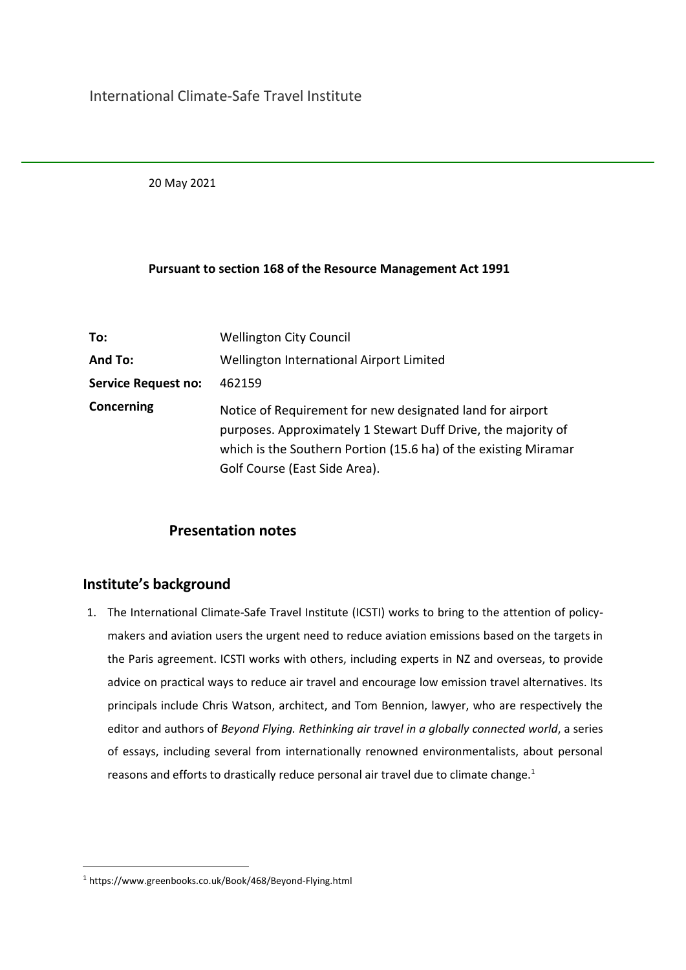20 May 2021

#### **Pursuant to section 168 of the Resource Management Act 1991**

| To:                        | <b>Wellington City Council</b>                                                                                                                                                                                                 |
|----------------------------|--------------------------------------------------------------------------------------------------------------------------------------------------------------------------------------------------------------------------------|
| And To:                    | Wellington International Airport Limited                                                                                                                                                                                       |
| <b>Service Request no:</b> | 462159                                                                                                                                                                                                                         |
| Concerning                 | Notice of Requirement for new designated land for airport<br>purposes. Approximately 1 Stewart Duff Drive, the majority of<br>which is the Southern Portion (15.6 ha) of the existing Miramar<br>Golf Course (East Side Area). |

## **Presentation notes**

## **Institute's background**

1. The International Climate-Safe Travel Institute (ICSTI) works to bring to the attention of policymakers and aviation users the urgent need to reduce aviation emissions based on the targets in the Paris agreement. ICSTI works with others, including experts in NZ and overseas, to provide advice on practical ways to reduce air travel and encourage low emission travel alternatives. Its principals include Chris Watson, architect, and Tom Bennion, lawyer, who are respectively the editor and authors of *Beyond Flying. Rethinking air travel in a globally connected world*, a series of essays, including several from internationally renowned environmentalists, about personal reasons and efforts to drastically reduce personal air travel due to climate change.<sup>1</sup>

<sup>1</sup> http[s://www.greenbooks.co.uk/Book/468/Beyond-Flying.html](http://www.greenbooks.co.uk/Book/468/Beyond-Flying.html)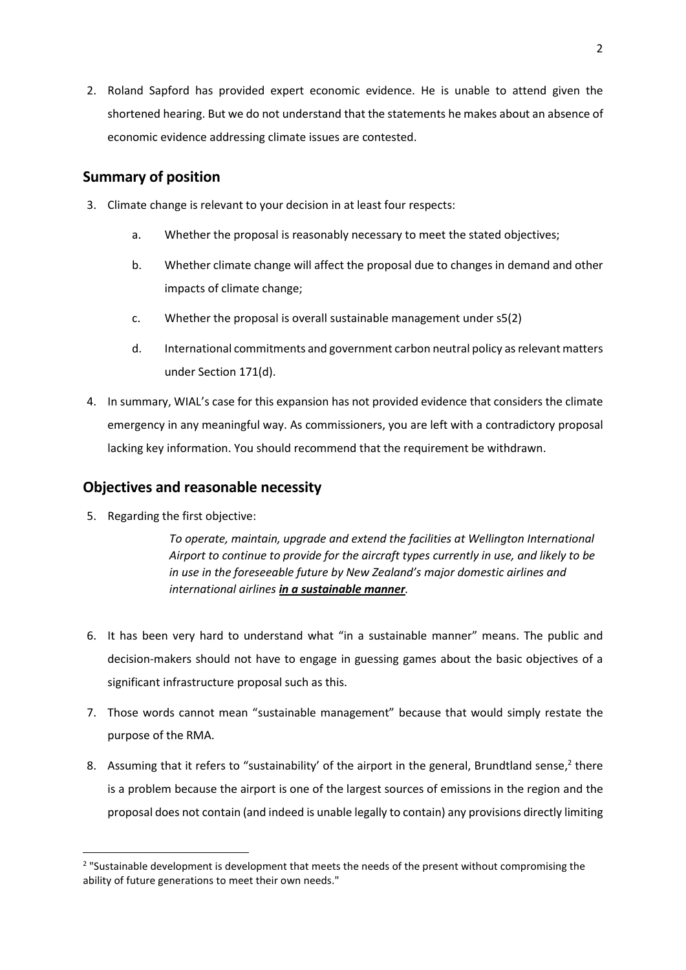2. Roland Sapford has provided expert economic evidence. He is unable to attend given the shortened hearing. But we do not understand that the statements he makes about an absence of economic evidence addressing climate issues are contested.

## **Summary of position**

- 3. Climate change is relevant to your decision in at least four respects:
	- a. Whether the proposal is reasonably necessary to meet the stated objectives;
	- b. Whether climate change will affect the proposal due to changes in demand and other impacts of climate change;
	- c. Whether the proposal is overall sustainable management under s5(2)
	- d. International commitments and government carbon neutral policy as relevant matters under Section 171(d).
- 4. In summary, WIAL's case for this expansion has not provided evidence that considers the climate emergency in any meaningful way. As commissioners, you are left with a contradictory proposal lacking key information. You should recommend that the requirement be withdrawn.

#### **Objectives and reasonable necessity**

5. Regarding the first objective:

*To operate, maintain, upgrade and extend the facilities at Wellington International Airport to continue to provide for the aircraft types currently in use, and likely to be in use in the foreseeable future by New Zealand's major domestic airlines and international airlines in a sustainable manner.*

- 6. It has been very hard to understand what "in a sustainable manner" means. The public and decision-makers should not have to engage in guessing games about the basic objectives of a significant infrastructure proposal such as this.
- 7. Those words cannot mean "sustainable management" because that would simply restate the purpose of the RMA.
- 8. Assuming that it refers to "sustainability' of the airport in the general, Brundtland sense,<sup>2</sup> there is a problem because the airport is one of the largest sources of emissions in the region and the proposal does not contain (and indeed is unable legally to contain) any provisions directly limiting

<sup>&</sup>lt;sup>2</sup> "Sustainable development is development that meets the needs of the present without compromising the ability of future generations to meet their own needs."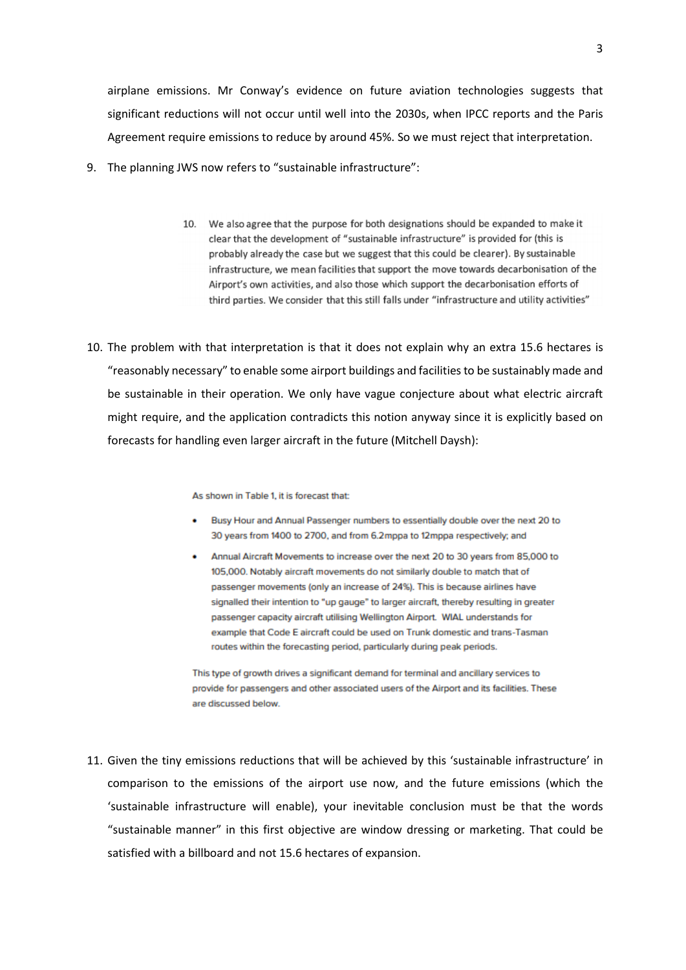airplane emissions. Mr Conway's evidence on future aviation technologies suggests that significant reductions will not occur until well into the 2030s, when IPCC reports and the Paris Agreement require emissions to reduce by around 45%. So we must reject that interpretation.

- 9. The planning JWS now refers to "sustainable infrastructure":
	- 10. We also agree that the purpose for both designations should be expanded to make it clear that the development of "sustainable infrastructure" is provided for (this is probably already the case but we suggest that this could be clearer). By sustainable infrastructure, we mean facilities that support the move towards decarbonisation of the Airport's own activities, and also those which support the decarbonisation efforts of third parties. We consider that this still falls under "infrastructure and utility activities"
- 10. The problem with that interpretation is that it does not explain why an extra 15.6 hectares is "reasonably necessary" to enable some airport buildings and facilities to be sustainably made and be sustainable in their operation. We only have vague conjecture about what electric aircraft might require, and the application contradicts this notion anyway since it is explicitly based on forecasts for handling even larger aircraft in the future (Mitchell Daysh):

As shown in Table 1, it is forecast that:

- Busy Hour and Annual Passenger numbers to essentially double over the next 20 to 30 years from 1400 to 2700, and from 6.2mppa to 12mppa respectively; and
- . Annual Aircraft Movements to increase over the next 20 to 30 years from 85,000 to 105,000. Notably aircraft movements do not similarly double to match that of passenger movements (only an increase of 24%). This is because airlines have signalled their intention to "up gauge" to larger aircraft, thereby resulting in greater passenger capacity aircraft utilising Wellington Airport. WIAL understands for example that Code E aircraft could be used on Trunk domestic and trans-Tasman routes within the forecasting period, particularly during peak periods.

This type of growth drives a significant demand for terminal and ancillary services to provide for passengers and other associated users of the Airport and its facilities. These are discussed below.

11. Given the tiny emissions reductions that will be achieved by this 'sustainable infrastructure' in comparison to the emissions of the airport use now, and the future emissions (which the 'sustainable infrastructure will enable), your inevitable conclusion must be that the words "sustainable manner" in this first objective are window dressing or marketing. That could be satisfied with a billboard and not 15.6 hectares of expansion.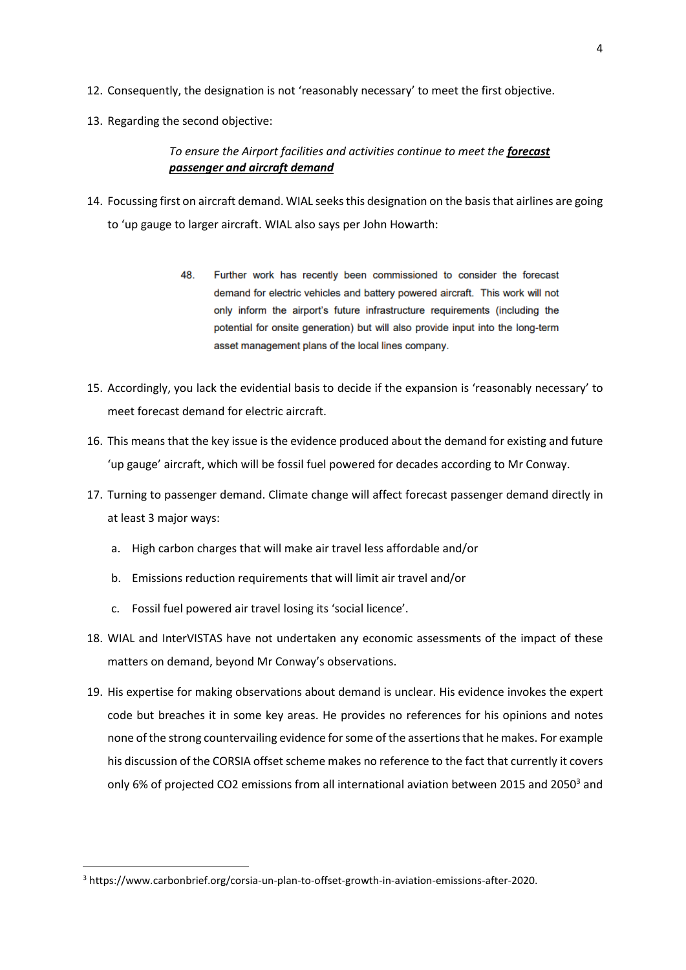- 12. Consequently, the designation is not 'reasonably necessary' to meet the first objective.
- 13. Regarding the second objective:

#### *To ensure the Airport facilities and activities continue to meet the forecast passenger and aircraft demand*

- 14. Focussing first on aircraft demand. WIAL seeks this designation on the basis that airlines are going to 'up gauge to larger aircraft. WIAL also says per John Howarth:
	- 48. Further work has recently been commissioned to consider the forecast demand for electric vehicles and battery powered aircraft. This work will not only inform the airport's future infrastructure requirements (including the potential for onsite generation) but will also provide input into the long-term asset management plans of the local lines company.
- 15. Accordingly, you lack the evidential basis to decide if the expansion is 'reasonably necessary' to meet forecast demand for electric aircraft.
- 16. This means that the key issue is the evidence produced about the demand for existing and future 'up gauge' aircraft, which will be fossil fuel powered for decades according to Mr Conway.
- 17. Turning to passenger demand. Climate change will affect forecast passenger demand directly in at least 3 major ways:
	- a. High carbon charges that will make air travel less affordable and/or
	- b. Emissions reduction requirements that will limit air travel and/or
	- c. Fossil fuel powered air travel losing its 'social licence'.
- 18. WIAL and InterVISTAS have not undertaken any economic assessments of the impact of these matters on demand, beyond Mr Conway's observations.
- 19. His expertise for making observations about demand is unclear. His evidence invokes the expert code but breaches it in some key areas. He provides no references for his opinions and notes none of the strong countervailing evidence for some of the assertions that he makes. For example his discussion of the CORSIA offset scheme makes no reference to the fact that currently it covers only 6% of projected CO2 emissions from all international aviation between 2015 and 2050<sup>3</sup> and

<sup>3</sup> https://www.carbonbrief.org/corsia-un-plan-to-offset-growth-in-aviation-emissions-after-2020.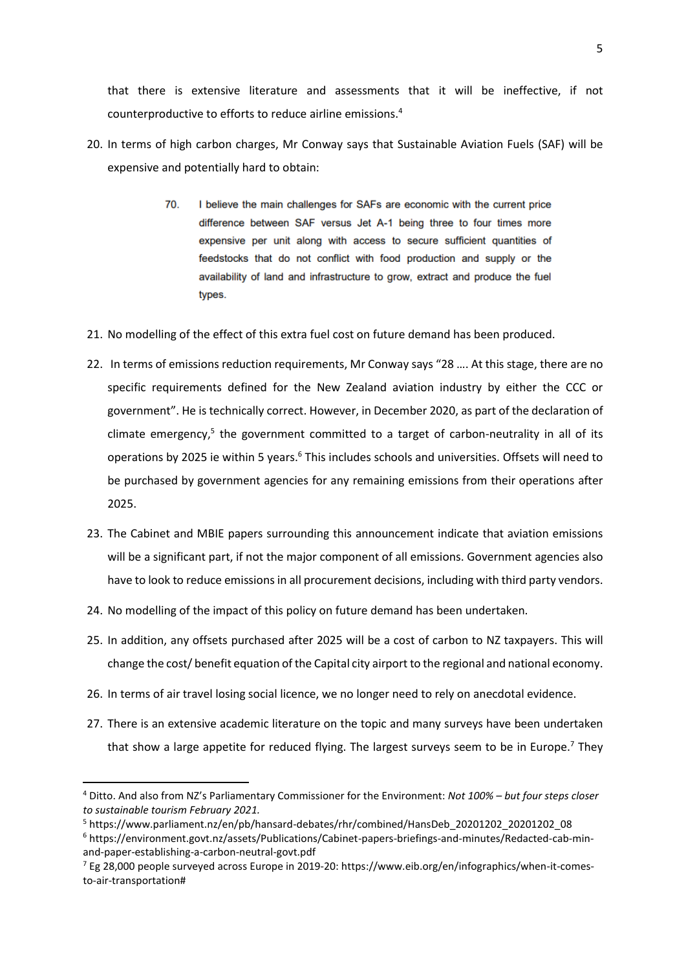that there is extensive literature and assessments that it will be ineffective, if not counterproductive to efforts to reduce airline emissions.<sup>4</sup>

- 20. In terms of high carbon charges, Mr Conway says that Sustainable Aviation Fuels (SAF) will be expensive and potentially hard to obtain:
	- $70.$ I believe the main challenges for SAFs are economic with the current price difference between SAF versus Jet A-1 being three to four times more expensive per unit along with access to secure sufficient quantities of feedstocks that do not conflict with food production and supply or the availability of land and infrastructure to grow, extract and produce the fuel types.
- 21. No modelling of the effect of this extra fuel cost on future demand has been produced.
- 22. In terms of emissions reduction requirements, Mr Conway says "28 …. At this stage, there are no specific requirements defined for the New Zealand aviation industry by either the CCC or government". He is technically correct. However, in December 2020, as part of the declaration of climate emergency,<sup>5</sup> the government committed to a target of carbon-neutrality in all of its operations by 2025 ie within 5 years.<sup>6</sup> This includes schools and universities. Offsets will need to be purchased by government agencies for any remaining emissions from their operations after 2025.
- 23. The Cabinet and MBIE papers surrounding this announcement indicate that aviation emissions will be a significant part, if not the major component of all emissions. Government agencies also have to look to reduce emissions in all procurement decisions, including with third party vendors.
- 24. No modelling of the impact of this policy on future demand has been undertaken.
- 25. In addition, any offsets purchased after 2025 will be a cost of carbon to NZ taxpayers. This will change the cost/ benefit equation of the Capital city airport to the regional and national economy.
- 26. In terms of air travel losing social licence, we no longer need to rely on anecdotal evidence.
- 27. There is an extensive academic literature on the topic and many surveys have been undertaken that show a large appetite for reduced flying. The largest surveys seem to be in Europe.<sup>7</sup> They

<sup>4</sup> Ditto. And also from NZ's Parliamentary Commissioner for the Environment: *Not 100% – but four steps closer to sustainable tourism February 2021.*

<sup>5</sup> https://www.parliament.nz/en/pb/hansard-debates/rhr/combined/HansDeb\_20201202\_20201202\_08

<sup>6</sup> https://environment.govt.nz/assets/Publications/Cabinet-papers-briefings-and-minutes/Redacted-cab-minand-paper-establishing-a-carbon-neutral-govt.pdf

 $^7$  Eg 28,000 people surveyed across Europe in 2019-20: https://www.eib.org/en/infographics/when-it-comesto-air-transportation#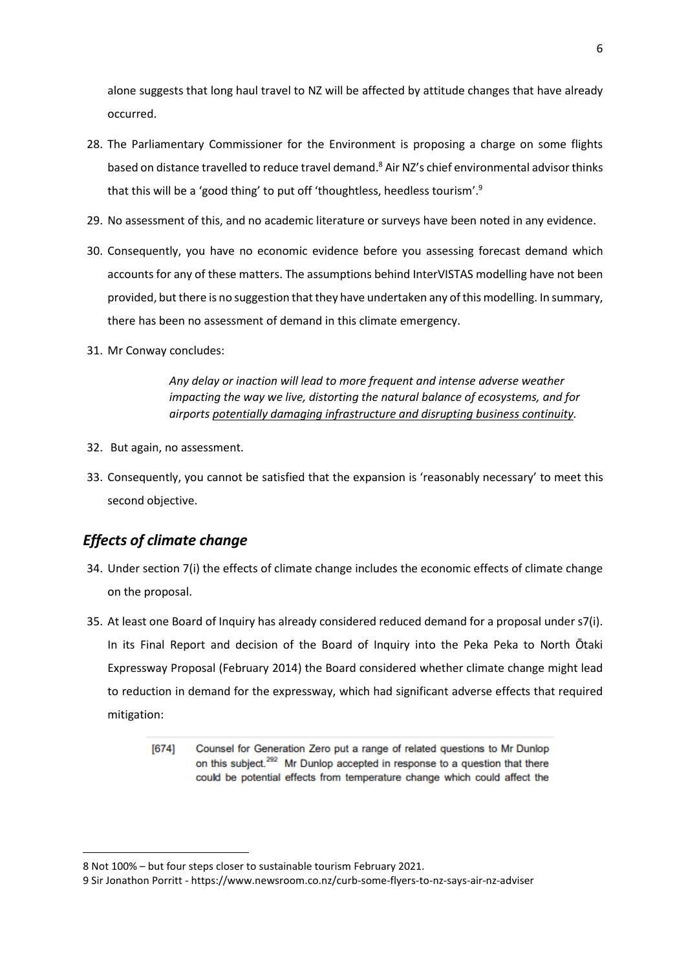alone suggests that long haul travel to NZ will be affected by attitude changes that have already occurred.

- 28. The Parliamentary Commissioner for the Environment is proposing a charge on some flights based on distance travelled to reduce travel demand. <sup>8</sup> Air NZ's chief environmental advisor thinks that this will be a 'good thing' to put off 'thoughtless, heedless tourism'.<sup>9</sup>
- 29. No assessment of this, and no academic literature or surveys have been noted in any evidence.
- 30. Consequently, you have no economic evidence before you assessing forecast demand which accounts for any of these matters. The assumptions behind InterVISTAS modelling have not been provided, but there is no suggestion that they have undertaken any of this modelling. In summary, there has been no assessment of demand in this climate emergency.
- 31. Mr Conway concludes:

*Any delay or inaction will lead to more frequent and intense adverse weather impacting the way we live, distorting the natural balance of ecosystems, and for airports potentially damaging infrastructure and disrupting business continuity.*

- 32. But again, no assessment.
- 33. Consequently, you cannot be satisfied that the expansion is 'reasonably necessary' to meet this second objective.

# *Effects of climate change*

- 34. Under section 7(i) the effects of climate change includes the economic effects of climate change on the proposal.
- 35. At least one Board of Inquiry has already considered reduced demand for a proposal under s7(i). In its Final Report and decision of the Board of Inquiry into the Peka Peka to North Ōtaki Expressway Proposal (February 2014) the Board considered whether climate change might lead to reduction in demand for the expressway, which had significant adverse effects that required mitigation:
	- $[674]$ Counsel for Generation Zero put a range of related questions to Mr Dunlop on this subject.<sup>292</sup> Mr Dunlop accepted in response to a question that there could be potential effects from temperature change which could affect the

<sup>8</sup> Not 100% – but four steps closer to sustainable tourism February 2021.

<sup>9</sup> Sir Jonathon Porritt - https://www.newsroom.co.nz/curb-some-flyers-to-nz-says-air-nz-adviser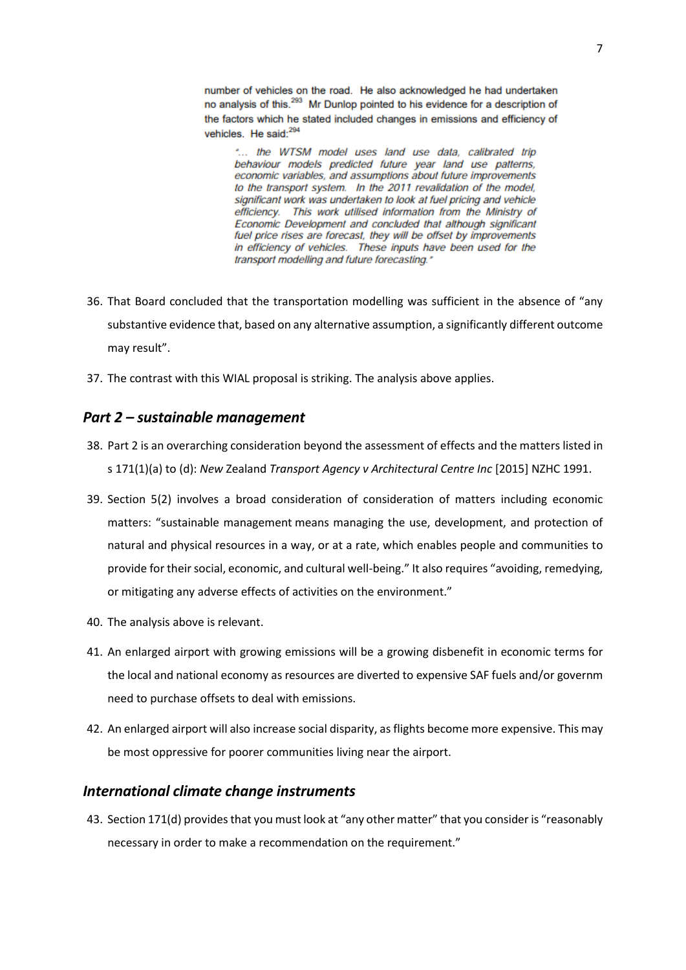number of vehicles on the road. He also acknowledged he had undertaken no analysis of this.<sup>293</sup> Mr Dunlop pointed to his evidence for a description of the factors which he stated included changes in emissions and efficiency of vehicles. He said:<sup>294</sup>

"... the WTSM model uses land use data, calibrated trip behaviour models predicted future year land use patterns, economic variables, and assumptions about future improvements to the transport system. In the 2011 revalidation of the model, significant work was undertaken to look at fuel pricing and vehicle efficiency. This work utilised information from the Ministry of Economic Development and concluded that although significant fuel price rises are forecast, they will be offset by improvements in efficiency of vehicles. These inputs have been used for the transport modelling and future forecasting."

- 36. That Board concluded that the transportation modelling was sufficient in the absence of "any substantive evidence that, based on any alternative assumption, a significantly different outcome may result".
- 37. The contrast with this WIAL proposal is striking. The analysis above applies.

#### *Part 2 – sustainable management*

- 38. Part 2 is an overarching consideration beyond the assessment of effects and the matters listed in s [171\(1\)\(a\)](https://www.westlaw.co.nz/maf/wlnz/app/document?docguid=Icdf486a4e12c11e08eefa443f89988a0&&src=rl&hitguid=Ib629cf61e02511e08eefa443f89988a0&snippets=true&startChunk=1&endChunk=1&isTocNav=true&tocDs=AUNZ_NZ_LEGCOMM_TOC#anchor_Ib629cf61e02511e08eefa443f89988a0) to [\(d\):](https://www.westlaw.co.nz/maf/wlnz/app/document?docguid=Icdf486a4e12c11e08eefa443f89988a0&&src=rl&hitguid=Ib629cf55e02511e08eefa443f89988a0&snippets=true&startChunk=1&endChunk=1&isTocNav=true&tocDs=AUNZ_NZ_LEGCOMM_TOC#anchor_Ib629cf55e02511e08eefa443f89988a0) *New* Zealand *[Transport Agency v Architectural Centre Inc](https://www.westlaw.co.nz/maf/wlnz/app/document?docguid=I4845a7104af711e59774dfc991d0b195&&src=doc&hitguid=I47f9f8154af711e59774dfc991d0b195&snippets=true&startChunk=1&endChunk=1&isTocNav=true&tocDs=AUNZ_NZ_LEGCOMM_TOC#anchor_I47f9f8154af711e59774dfc991d0b195)* [2015] NZHC 1991.
- 39. Section 5(2) involves a broad consideration of consideration of matters including economic matters: "sustainable management means managing the use, development, and protection of natural and physical resources in a way, or at a rate, which enables people and communities to provide for their social, economic, and cultural well-being." It also requires "avoiding, remedying, or mitigating any adverse effects of activities on the environment."
- 40. The analysis above is relevant.
- 41. An enlarged airport with growing emissions will be a growing disbenefit in economic terms for the local and national economy as resources are diverted to expensive SAF fuels and/or governm need to purchase offsets to deal with emissions.
- 42. An enlarged airport will also increase social disparity, as flights become more expensive. This may be most oppressive for poorer communities living near the airport.

#### *International climate change instruments*

43. Section 171(d) provides that you must look at "any other matter" that you consider is "reasonably necessary in order to make a recommendation on the requirement."